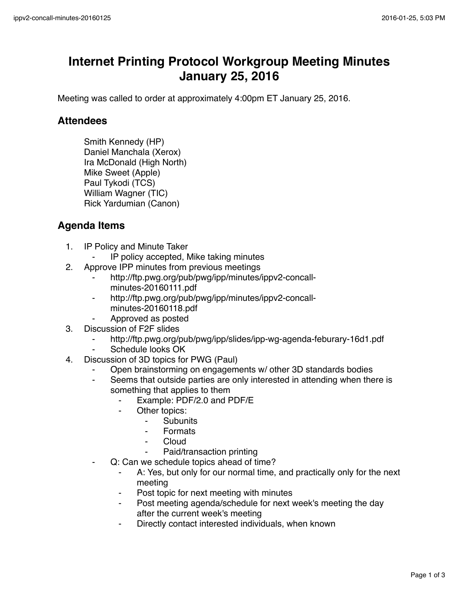## **Internet Printing Protocol Workgroup Meeting Minutes January 25, 2016**

Meeting was called to order at approximately 4:00pm ET January 25, 2016.

## **Attendees**

Smith Kennedy (HP) Daniel Manchala (Xerox) Ira McDonald (High North) Mike Sweet (Apple) Paul Tykodi (TCS) William Wagner (TIC) Rick Yardumian (Canon)

## **Agenda Items**

- 1. IP Policy and Minute Taker
	- ⁃ IP policy accepted, Mike taking minutes
- 2. Approve IPP minutes from previous meetings
	- http://ftp.pwg.org/pub/pwg/ipp/minutes/ippv2-concallminutes-20160111.pdf
	- ⁃ http://ftp.pwg.org/pub/pwg/ipp/minutes/ippv2-concallminutes-20160118.pdf
	- ⁃ Approved as posted
- 3. Discussion of F2F slides
	- http://ftp.pwg.org/pub/pwg/ipp/slides/ipp-wg-agenda-feburary-16d1.pdf
	- Schedule looks OK
- 4. Discussion of 3D topics for PWG (Paul)
	- Open brainstorming on engagements w/ other 3D standards bodies
	- Seems that outside parties are only interested in attending when there is something that applies to them
		- ⁃ Example: PDF/2.0 and PDF/E
		- Other topics:
			- ⁃ Subunits
			- **Formats**
			- **Cloud**
			- Paid/transaction printing
	- Q: Can we schedule topics ahead of time?
		- ⁃ A: Yes, but only for our normal time, and practically only for the next meeting
		- Post topic for next meeting with minutes
		- Post meeting agenda/schedule for next week's meeting the day after the current week's meeting
		- Directly contact interested individuals, when known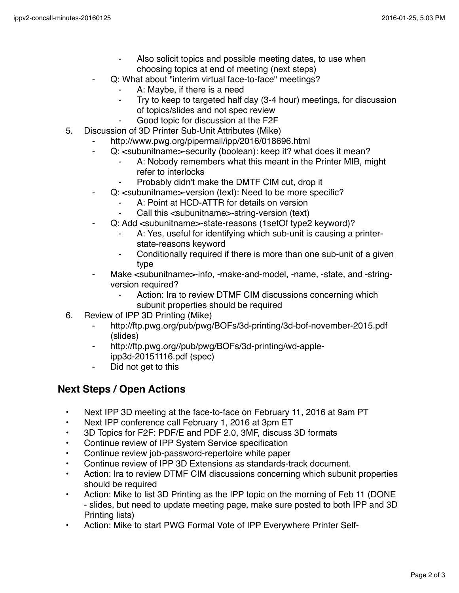- Also solicit topics and possible meeting dates, to use when choosing topics at end of meeting (next steps)
- Q: What about "interim virtual face-to-face" meetings?
	- A: Maybe, if there is a need
	- Try to keep to targeted half day (3-4 hour) meetings, for discussion of topics/slides and not spec review
	- Good topic for discussion at the F2F
- 5. Discussion of 3D Printer Sub-Unit Attributes (Mike)
	- http://www.pwg.org/pipermail/ipp/2016/018696.html
	- Q: <subunitname>-security (boolean): keep it? what does it mean?
		- A: Nobody remembers what this meant in the Printer MIB, might refer to interlocks
		- Probably didn't make the DMTF CIM cut, drop it
	- Q: <subunitname>-version (text): Need to be more specific?
		- A: Point at HCD-ATTR for details on version
		- Call this <subunitname>-string-version (text)
	- Q: Add <subunitname>-state-reasons (1setOf type2 keyword)?
		- A: Yes, useful for identifying which sub-unit is causing a printerstate-reasons keyword
		- ⁃ Conditionally required if there is more than one sub-unit of a given type
	- Make <subunitname>-info, -make-and-model, -name, -state, and -stringversion required?
		- Action: Ira to review DTMF CIM discussions concerning which subunit properties should be required
- 6. Review of IPP 3D Printing (Mike)
	- ⁃ http://ftp.pwg.org/pub/pwg/BOFs/3d-printing/3d-bof-november-2015.pdf (slides)
	- http://ftp.pwg.org//pub/pwg/BOFs/3d-printing/wd-appleipp3d-20151116.pdf (spec)
	- ⁃ Did not get to this

## **Next Steps / Open Actions**

- Next IPP 3D meeting at the face-to-face on February 11, 2016 at 9am PT
- Next IPP conference call February 1, 2016 at 3pm ET
- 3D Topics for F2F: PDF/E and PDF 2.0, 3MF, discuss 3D formats
- Continue review of IPP System Service specification
- Continue review job-password-repertoire white paper
- Continue review of IPP 3D Extensions as standards-track document.
- Action: Ira to review DTMF CIM discussions concerning which subunit properties should be required
- Action: Mike to list 3D Printing as the IPP topic on the morning of Feb 11 (DONE - slides, but need to update meeting page, make sure posted to both IPP and 3D Printing lists)
- Action: Mike to start PWG Formal Vote of IPP Everywhere Printer Self-